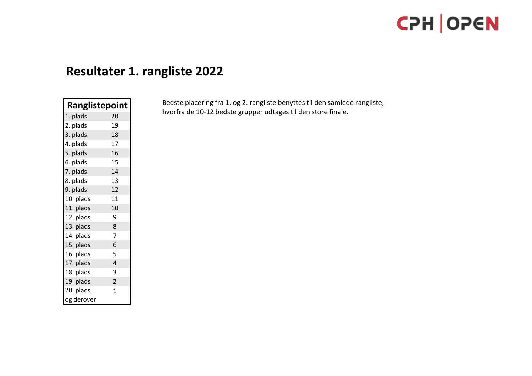# **Resultater 1. rangliste 2022**

| <b>Ranglistepoint</b> |                |
|-----------------------|----------------|
| 1. plads              | 20             |
| 2. plads              | 19             |
| 3. plads              | 18             |
| 4. plads              | 17             |
| 5. plads              | 16             |
| 6. plads              | 15             |
| 7. plads              | 14             |
| 8. plads              | 13             |
| 9. plads              | 12             |
| 10. plads             | 11             |
| 11. plads             | 10             |
| 12. plads             | 9              |
| 13. plads             | 8              |
| 14. plads             | 7              |
| 15. plads             | 6              |
| 16. plads             | 5              |
| 17. plads             | $\overline{4}$ |
| 18. plads             | 3              |
| 19. plads             | $\overline{2}$ |
| 20. plads             | $\mathbf 1$    |
| og derover            |                |

Bedste placering fra 1. og 2. rangliste benyttes til den samlede rangliste, hvorfra de 10-12 bedste grupper udtages til den store finale.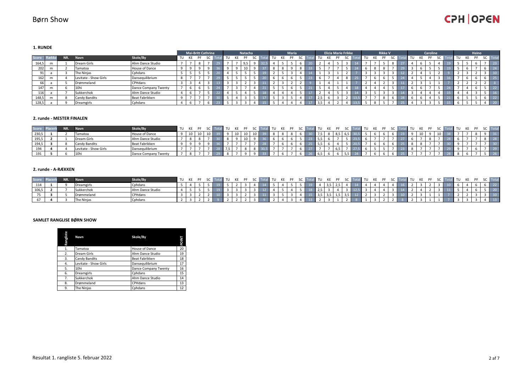**1. RUNDE**

|              |   |     |                       |                      | <b>Mai-Britt Cathrine</b> |    |           |    | Natacha |                |  | <b>Maria</b> |  |       | <b>Elicia Marie Frikke</b> |     |  |    | <b>Rikke V</b> |  |  | <b>Caroline</b> |  |    | Heino |      |
|--------------|---|-----|-----------------------|----------------------|---------------------------|----|-----------|----|---------|----------------|--|--------------|--|-------|----------------------------|-----|--|----|----------------|--|--|-----------------|--|----|-------|------|
| <b>Score</b> |   | NR. | Navn                  | Skole/By             | TU KE                     | PF | <b>SC</b> | TU | PF      | S <sub>C</sub> |  |              |  | TU    |                            |     |  | KE |                |  |  |                 |  | TU |       | Tota |
| 164,5        |   |     | Dream Girls           | Ahm Dance Studio     |                           | R  |           |    | 9,5     |                |  |              |  |       |                            |     |  |    |                |  |  |                 |  |    |       | 23   |
| 202          |   |     | Tamatoa               | House of Dance       |                           |    |           |    |         |                |  |              |  |       |                            |     |  |    |                |  |  |                 |  |    |       |      |
|              |   |     | The Ninjas            | Cphdans              |                           |    |           |    |         |                |  |              |  |       |                            |     |  |    |                |  |  |                 |  |    |       |      |
| 162          | m |     | Levitate - Show Girls | Dansequilibrium      |                           |    |           |    |         |                |  |              |  |       |                            |     |  |    |                |  |  |                 |  |    |       | 25   |
| -661         |   |     | Drømmeland            | CPHdans              |                           |    |           |    |         |                |  |              |  |       |                            | . . |  |    |                |  |  |                 |  |    |       |      |
| 147          | m |     | 10hi                  | Dance Company Twenty |                           |    |           |    |         |                |  |              |  |       |                            |     |  |    |                |  |  |                 |  |    |       | 22   |
| 116          |   |     | Sukkerchok            | Ahm Dance Studio     |                           |    |           |    |         |                |  |              |  |       |                            |     |  |    |                |  |  |                 |  |    |       | 16   |
| 148,5        | m |     | Candy Bandits         | Beat Fabrikken       |                           |    |           |    |         |                |  |              |  | , 2,5 |                            |     |  |    |                |  |  |                 |  |    |       |      |
| 128,5        |   |     | Dreamgirls            | Cphdans              |                           |    |           |    |         |                |  |              |  | 3,5   |                            |     |  |    |                |  |  |                 |  |    |       | 20   |

#### **2. runde - MESTER FINALEN**

| Score | NR. | <b>Navn</b>           | Skole/By             | TU KE PF |  |  |  |  | णा गा |  |  | TU T |               | II TU |  |  |  |  | II TU |  |  |
|-------|-----|-----------------------|----------------------|----------|--|--|--|--|-------|--|--|------|---------------|-------|--|--|--|--|-------|--|--|
| 230,5 |     | Tamatoa               | House of Dance       | 10       |  |  |  |  |       |  |  |      | $\sim$ $\sim$ |       |  |  |  |  |       |  |  |
| 195,5 |     | Dream Girls           | Ahm Dance Studio     |          |  |  |  |  |       |  |  |      |               |       |  |  |  |  |       |  |  |
| 194,5 |     | Candy Bandits         | Beat Fabrikken       |          |  |  |  |  |       |  |  |      |               |       |  |  |  |  |       |  |  |
| 194   |     | Levitate - Show Girls | Dansequilibrium      |          |  |  |  |  |       |  |  |      |               |       |  |  |  |  |       |  |  |
| 191   |     | 10h                   | Dance Company Twenty |          |  |  |  |  |       |  |  |      |               |       |  |  |  |  |       |  |  |

#### **2. runde - A-RÆKKEN**

| Score | <b>KIAT</b> |            | Skole/By         | TU KE PF |  |  |  |  | al TU KE PF SC Tota |  |     |  | tal TU KE PF SC Total | al TU KE PF | $\sim$ | $T_{\Omega}$ | all TU |  |  |  |  |
|-------|-------------|------------|------------------|----------|--|--|--|--|---------------------|--|-----|--|-----------------------|-------------|--------|--------------|--------|--|--|--|--|
| 114   |             | Dreamgirl  | Cphdans          |          |  |  |  |  |                     |  |     |  |                       |             |        |              |        |  |  |  |  |
| 106,5 |             | Sukkerchok | Ahm Dance Studio |          |  |  |  |  |                     |  |     |  |                       |             |        |              |        |  |  |  |  |
|       |             | Drømmeland | <b>CPHdans</b>   |          |  |  |  |  |                     |  | ر ر |  |                       |             |        |              |        |  |  |  |  |
|       |             | The Ninjas | Cphdans          |          |  |  |  |  |                     |  |     |  |                       |             |        |              |        |  |  |  |  |

#### **SAMLET RANGLISE BØRN SHOW**

| Rangliste | Navn                  | Skole/By             | POINT |
|-----------|-----------------------|----------------------|-------|
| 1.        | Tamatoa               | House of Dance       | 20    |
| 2.        | Dream Girls           | Ahm Dance Studio     | 19    |
| 3.        | Candy Bandits         | Beat Fabrikken       | 18    |
| 4.        | Levitate - Show Girls | Dansequilibrium      | 17    |
| 5.        | 10hi                  | Dance Company Twenty | 16    |
| 6.        | Dreamgirls            | Cphdans              | 15    |
| 7.        | Sukkerchok            | Ahm Dance Studio     | 14    |
| 8.        | Drømmeland            | CPHdans              | 13    |
| 9.        | The Ninjas            | Cphdans              | 12    |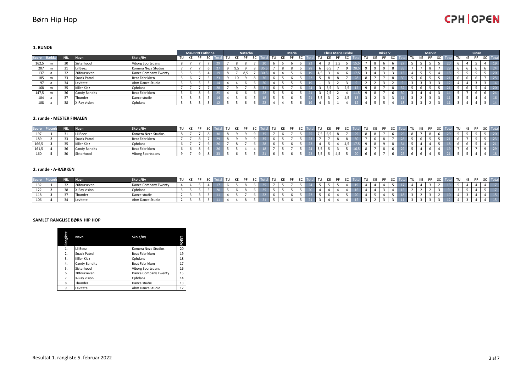### Børn Hip Hop

### **CPH OPEN**

**1. RUNDE**

|              |   |        |                     |                          |    | <b>Mai-Britt Cathrine</b> |                          |           |    |    | Natacha |  |    | Maria |  |     |     | <b>Elicia Marie Frikke</b> |                      |    |    | <b>Rikke V</b> |  |  | <b>Marvin</b> |     |    | Sinan |           |                 |
|--------------|---|--------|---------------------|--------------------------|----|---------------------------|--------------------------|-----------|----|----|---------|--|----|-------|--|-----|-----|----------------------------|----------------------|----|----|----------------|--|--|---------------|-----|----|-------|-----------|-----------------|
| <b>Score</b> |   | TNR.   | <b>Navn</b>         | Skole/By                 | TU |                           | PF                       | <b>SC</b> | TU | KE | PF      |  | TU |       |  | TU  |     |                            | SC                   | TU | KE | PF             |  |  |               | -SC | TU |       | <b>SC</b> | Tota            |
| 162,5        | m |        | Sisterhood          | <b>Viborg Sportsdans</b> |    |                           | $\overline{\phantom{a}}$ |           |    |    |         |  |    |       |  |     |     |                            |                      |    |    |                |  |  |               |     |    |       |           | 19              |
| 207          | m |        | il Beez             | Komera Neza Studios      |    |                           |                          |           |    |    |         |  |    |       |  |     |     |                            |                      |    |    |                |  |  |               |     |    |       |           |                 |
| 137          |   | $\sim$ | 20fourseven         | Dance Company Twenty     |    |                           |                          |           |    |    |         |  |    |       |  | 4.5 |     |                            |                      |    |    |                |  |  |               |     |    |       |           |                 |
| 185          | m |        | <b>Snack Patrol</b> | Beat Fabrikken           |    |                           |                          |           |    |    |         |  |    |       |  |     |     |                            |                      |    |    |                |  |  |               |     |    |       |           | 75              |
| 97           |   |        | Levitate            | Ahm Dance Studio         |    |                           |                          |           |    |    |         |  |    |       |  |     |     |                            |                      |    |    |                |  |  |               |     |    |       |           |                 |
| 168          | m |        | Killer Kidz         | Cphdans                  |    |                           |                          |           |    |    |         |  |    |       |  |     |     |                            | $\sim$ $\sim$<br>د,∠ |    |    |                |  |  |               |     |    |       |           | 20 <sub>1</sub> |
| 147,5        | m | 36     | Candy Bandits       | Beat Fabrikken           |    |                           |                          |           |    |    |         |  |    |       |  |     | 2.3 |                            |                      |    |    |                |  |  |               |     |    |       |           | 24              |
| 104          |   |        | Thunder             | Dance studie             |    |                           |                          |           |    |    |         |  |    |       |  | 3,5 |     |                            |                      |    |    |                |  |  |               |     |    |       |           | 16              |
| 108          |   | 38     | X-Ray vision        | Cphdans                  |    |                           |                          |           |    |    |         |  |    |       |  |     |     |                            |                      |    |    |                |  |  |               |     |    |       |           | 14              |

#### **2. runde - MESTER FINALEN**

| Score | NR. | <b>Navn</b>          | Skole/By                 | TU KE PF |  |  |  |  | <b>IL TU</b> |  |  |     | Total TU KE PF SC Tota |  | al TU KE PF |  | $\sim$ | J TU |  |  | KE DE | SC   Tota                                                                         |  |
|-------|-----|----------------------|--------------------------|----------|--|--|--|--|--------------|--|--|-----|------------------------|--|-------------|--|--------|------|--|--|-------|-----------------------------------------------------------------------------------|--|
| 197   |     | Lil Beez             | Komera Neza Studios      |          |  |  |  |  |              |  |  |     |                        |  |             |  |        |      |  |  |       |                                                                                   |  |
| 189   |     | <b>Snack Patrol</b>  | Beat Fabrikken           |          |  |  |  |  |              |  |  |     |                        |  |             |  |        |      |  |  |       | $\vert$ 23                                                                        |  |
| 166,5 |     | Killer Kidz          | Cphdans                  |          |  |  |  |  |              |  |  |     |                        |  |             |  |        |      |  |  |       | $\begin{array}{\small} \begin{array}{\small} \textbf{21} \end{array} \end{array}$ |  |
| 161,5 |     | <b>Candy Bandits</b> | Beat Fabrikken           |          |  |  |  |  |              |  |  | 3,5 |                        |  |             |  |        |      |  |  |       |                                                                                   |  |
| 160   |     | Sisterhood           | <b>Viborg Sportsdans</b> |          |  |  |  |  |              |  |  | כ,כ |                        |  |             |  |        |      |  |  |       |                                                                                   |  |

#### **2. runde - A-RÆKKEN**

| Score | ND. |              | Skole/By             | TU KE PF |  |  |  |  | al TU KE PF |  | SC To |  | al TU KE PF |  | <b>KE</b> |  | 41 TU |  |  |  |  |
|-------|-----|--------------|----------------------|----------|--|--|--|--|-------------|--|-------|--|-------------|--|-----------|--|-------|--|--|--|--|
|       |     | 20fourseven  | Dance Company Twenty |          |  |  |  |  |             |  |       |  |             |  |           |  |       |  |  |  |  |
| 122   |     | X-Ray vision | Cphdans              |          |  |  |  |  |             |  |       |  |             |  |           |  |       |  |  |  |  |
| 118   |     | Thunder      | Dance studie         |          |  |  |  |  |             |  |       |  |             |  |           |  |       |  |  |  |  |
| 10P   |     | Levitate     | Ahm Dance Studio     |          |  |  |  |  |             |  |       |  |             |  |           |  |       |  |  |  |  |

#### **SAMLET RANGLISE BØRN HIP HOP**

| Rangliste | Navn          | Skole/By                 | POINT |
|-----------|---------------|--------------------------|-------|
| 1.        | Lil Beez      | Komera Neza Studios      | 20    |
| 2.        | Snack Patrol  | Beat Fabrikken           | 19    |
| 3.        | Killer Kidz   | Cphdans                  | 18    |
| 4.        | Candy Bandits | Beat Fabrikken           | 17    |
| 5.        | Sisterhood    | <b>Viborg Sportsdans</b> | 16    |
| 6.        | 20fourseven   | Dance Company Twenty     | 15    |
| 7.        | X-Ray vision  | Cphdans                  | 14    |
| 8.        | Thunder       | Dance studie             | 13    |
| 9.        | Levitate      | Ahm Dance Studio         | 12    |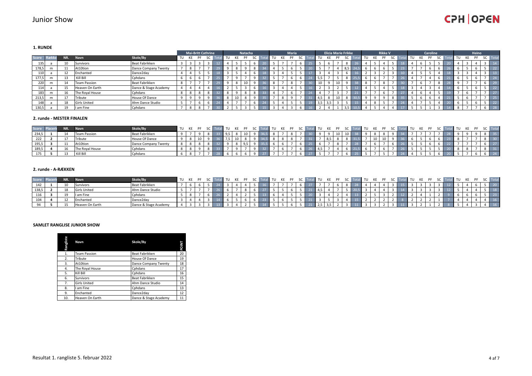#### **1. RUNDE**

|              |   |        |                     |                       |       | <b>Mai-Britt Cathrine</b> |    |           |    |    | Natacha |           |    |    | <b>Maria</b> |  |      | <b>Elicia Marie Frikke</b> |    |           |            |    |    | <b>Rikke V</b> |           |      |    | <b>Caroline</b> |                |      |    | Heino |                          |      |
|--------------|---|--------|---------------------|-----------------------|-------|---------------------------|----|-----------|----|----|---------|-----------|----|----|--------------|--|------|----------------------------|----|-----------|------------|----|----|----------------|-----------|------|----|-----------------|----------------|------|----|-------|--------------------------|------|
| <b>Score</b> |   | NR.    | Navn                | Skole/By              | TU KE |                           | PF | <b>SC</b> | TU | KE | PF      | <b>SC</b> | TU | KE |              |  | TU . | KE                         | PF | <b>SC</b> | <b>Tot</b> | TU | KE | PF             | <b>SC</b> | ' TU | KE | PF              | $\overline{1}$ | l TU | KE | PF    | <b>SC</b>                | Tota |
| 135          |   |        | Survivors           | Beat Fabrikken        |       |                           |    |           |    |    |         |           |    |    |              |  |      |                            |    |           |            |    |    |                |           |      |    |                 |                |      |    |       |                          |      |
| 178,5        | m |        | At10tion            | Dance Company Twenty  |       | -8                        |    |           |    |    |         |           |    |    |              |  |      |                            |    | 8.5       |            |    |    |                |           |      |    |                 |                |      |    |       |                          | 22   |
| 110          |   |        | Enchanted           | Dance2day             |       |                           |    |           |    |    |         |           |    |    |              |  |      |                            |    |           |            |    |    |                |           |      |    |                 |                |      |    |       |                          | 13   |
| 177,5        | m |        | Kill Bill           | Cphdans               |       | 6                         |    |           |    |    |         |           |    |    |              |  | ., ب |                            |    |           |            |    |    |                |           |      |    |                 |                | -6   |    |       |                          | 24   |
| 220          | m | $\sim$ | <b>Team Passion</b> | Beat Fabrikken        |       | $\overline{\phantom{a}}$  |    |           |    |    |         |           |    |    |              |  | 10   |                            |    |           |            |    |    |                |           |      |    |                 |                |      |    |       |                          | 29   |
| 114          |   |        | Heaven On Earth     | Dance & Stage Academy |       |                           |    |           |    |    |         |           |    |    |              |  |      |                            |    |           |            |    |    |                |           |      |    |                 |                | h    |    |       |                          | 22   |
| 183          | m |        | The Royal House     | Cphdans               |       | 8                         |    |           |    |    |         |           |    |    |              |  |      |                            |    |           |            |    |    |                |           |      |    |                 |                |      |    |       | $\overline{\phantom{a}}$ | 27   |
| 213,5        | m |        | Tribute             | House Of Dance        |       | $\circ$                   |    |           |    |    |         |           |    |    |              |  | 4.5  | 8                          |    |           |            |    |    |                |           |      |    |                 |                |      |    |       |                          | 25   |
| 148          |   |        | <b>Girls United</b> | Ahm Dance Studio      |       |                           |    |           |    |    |         |           |    |    |              |  | 3,5  | 13,5                       |    |           |            |    | я  |                |           |      |    |                 |                | 6    |    |       | $\overline{\phantom{0}}$ | 22   |
| 130,5        |   |        | I am Fine           | Cphdans               |       | 8                         |    |           |    |    |         |           |    |    |              |  |      |                            |    | 25        |            |    |    |                |           |      |    |                 |                | 8    |    |       |                          | 28   |

#### **2. runde - MESTER FINALEN**

| <b>Score</b> | NN. | <b>Navn</b>         | Skole/By              | TU KE |  |  |  |  | II TU |  |  | al TU KE PF SC Tot |  | TU KE |  |  |  |  |  |  |  |
|--------------|-----|---------------------|-----------------------|-------|--|--|--|--|-------|--|--|--------------------|--|-------|--|--|--|--|--|--|--|
| 234,5        |     | <b>Team Passion</b> | <b>Beat Fabrikken</b> |       |  |  |  |  |       |  |  |                    |  |       |  |  |  |  |  |  |  |
| 222          |     | Tribute             | House Of Dance        |       |  |  |  |  |       |  |  |                    |  |       |  |  |  |  |  |  |  |
| 195,5        | . . | At10tion            | Dance Company Twenty  |       |  |  |  |  |       |  |  |                    |  |       |  |  |  |  |  |  |  |
| 189,5        |     | The Royal House     | Cphdans               |       |  |  |  |  |       |  |  |                    |  |       |  |  |  |  |  |  |  |
| <b>1/5</b>   |     | Kill Bill           | Cphdans               |       |  |  |  |  |       |  |  |                    |  |       |  |  |  |  |  |  |  |

#### **2. runde - A-RÆKKEN**

| Score |   | Navn                | Skole/By              | TU KE PF |  |  |  |  | T11 |  |  | TU                   | KE |  |  |  |  |  |  |  |  |                 |
|-------|---|---------------------|-----------------------|----------|--|--|--|--|-----|--|--|----------------------|----|--|--|--|--|--|--|--|--|-----------------|
| 142   |   | Survivors           | Beat Fabrikken        |          |  |  |  |  |     |  |  |                      |    |  |  |  |  |  |  |  |  |                 |
| 138,5 |   | <b>Girls United</b> | Ahm Dance Studio      |          |  |  |  |  |     |  |  | 4,5                  |    |  |  |  |  |  |  |  |  | 18 <sup>1</sup> |
| 116   |   | I am Fine           | Cphdans               |          |  |  |  |  |     |  |  |                      |    |  |  |  |  |  |  |  |  |                 |
| 104   |   | chanted             | Dance2day             |          |  |  |  |  |     |  |  |                      |    |  |  |  |  |  |  |  |  |                 |
|       | ᅩ | Heaven On Earth     | Dance & Stage Academy |          |  |  |  |  |     |  |  | $\sim$ $\sim$<br>2,5 |    |  |  |  |  |  |  |  |  | <b>16</b>       |

#### **SAMLET RANGLISE JUNIOR SHOW**

 $\mathbf{I}$ 

| Rangliste | Navn                | Skole/By              | <b>POINT</b> |
|-----------|---------------------|-----------------------|--------------|
| 1.        | <b>Team Passion</b> | Beat Fabrikken        | 20           |
| 2.        | Tribute             | House Of Dance        | 19           |
| 3.        | At10tion            | Dance Company Twenty  | 18           |
| 4.        | The Royal House     | Cphdans               | 17           |
| 5.        | Kill Bill           | Cphdans               | 16           |
| 6.        | Survivors           | Beat Fabrikken        | 15           |
| 7.        | <b>Girls United</b> | Ahm Dance Studio      | 14           |
| 8.        | I am Fine           | Cphdans               | 13           |
| 9.        | Enchanted           | Dance2day             | 12           |
| 10.       | Heaven On Earth     | Dance & Stage Academy | 11           |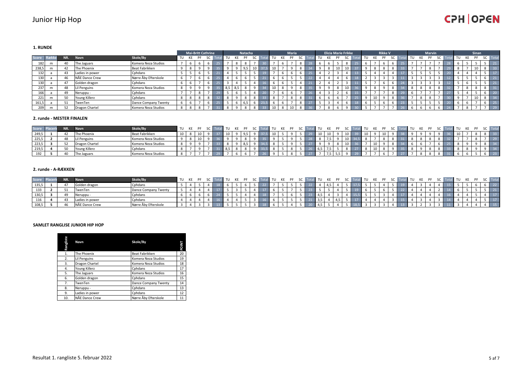### Junior Hip Hop

# **CPH OPEN**

**1. RUNDE**

|              |   |     |                 |                      |          | <b>Mai-Britt Cathrine</b> |              |           |     |    | Natacha |           |    |    | <b>Maria</b> |  |      | <b>Elicia Marie Frikke</b> |           |      |    | <b>Rikke V</b> |  |    | <b>Marvin</b> |           |          |    |    | Sinan |           |                 |
|--------------|---|-----|-----------------|----------------------|----------|---------------------------|--------------|-----------|-----|----|---------|-----------|----|----|--------------|--|------|----------------------------|-----------|------|----|----------------|--|----|---------------|-----------|----------|----|----|-------|-----------|-----------------|
| <b>Score</b> |   | NR. | Navn            | Skole/By             |          | TU KE                     | PF           | <b>SC</b> | TU  | KE | PF      | <b>SC</b> | TU | KE | PF           |  | l TU | KE                         | <b>SC</b> | l TU | KE | PF             |  | KE |               | <b>SC</b> | $\top$ c | TU | KE | PF    | <b>SC</b> | Total           |
| 182          | m | 40  | The Jaguars     | Komera Neza Studios  |          |                           |              |           |     |    |         |           |    |    |              |  |      |                            | 8         |      |    |                |  |    |               |           |          |    |    |       |           | 21              |
| 238,5        | m |     | The Phoenix     | Beat Fabrikken       |          |                           |              |           |     |    |         |           |    |    |              |  |      |                            |           |      | 8  |                |  |    |               |           |          |    |    |       |           | 33              |
| 132          |   | 43  | Ladies in power | Cphdans              |          |                           |              |           |     |    |         |           |    |    |              |  |      |                            |           |      |    |                |  |    |               |           |          |    |    |       |           | 17              |
| 130          |   |     | NÅE Dance Crew  | Nørre Åby Efterskole |          |                           |              |           |     |    |         |           |    |    |              |  |      |                            |           |      |    |                |  |    |               |           |          |    |    |       |           | 21              |
| 130          |   | 47  | Golden dragon   | Cphdans              |          |                           |              |           |     |    |         |           |    |    |              |  |      |                            |           |      |    |                |  |    |               |           |          |    |    |       |           | 21              |
| 237          | m | 48  | Lil Penguins    | Komera Neza Studios  | $\Omega$ |                           |              |           | 8,5 |    |         |           | πυ |    |              |  |      |                            |           |      | 8  |                |  |    |               |           |          |    |    |       |           | 31              |
| 166          |   |     | Neruppu -       | Cphdans              |          | $\overline{\phantom{0}}$  | $\mathbf{R}$ |           |     |    |         |           |    |    |              |  |      |                            |           |      |    |                |  |    |               |           |          |    |    |       |           | 20 <sub>1</sub> |
| 221          | m | 50  | Young Killerz   | Cphdans              |          |                           | 8            |           |     |    |         |           |    |    |              |  |      |                            |           |      |    |                |  |    |               |           |          |    |    |       |           | 34              |
| 161,5        |   | E.  | TwenTen         | Dance Company Twenty |          |                           |              |           |     |    |         |           |    |    |              |  |      |                            |           |      |    |                |  |    |               |           |          |    |    |       |           | 25 <sub>1</sub> |
| 209          | m |     | Dragon Chartel  | Komera Neza Studios  |          |                           |              |           |     |    |         |           |    |    |              |  |      |                            |           |      |    |                |  |    |               |           |          |    |    |       |           | 29              |

#### **2. runde - MESTER FINALEN**

| Score | NN. | <b>Navn</b>    | Skole/By              | TU KE PF |  |  |  |  | II TU |  |  | al TU KE PF SC Tot |  |    | <b>TU KE</b> |  |  |  |  |  |  |  |
|-------|-----|----------------|-----------------------|----------|--|--|--|--|-------|--|--|--------------------|--|----|--------------|--|--|--|--|--|--|--|
| 249,5 |     | The Phoenix    | <b>Beat Fabrikken</b> |          |  |  |  |  | 10    |  |  |                    |  | 10 |              |  |  |  |  |  |  |  |
| 225,5 |     | Lil Penguins   | Komera Neza Studios   |          |  |  |  |  |       |  |  |                    |  |    |              |  |  |  |  |  |  |  |
| 223,5 |     | Dragon Chartel | Komera Neza Studios   |          |  |  |  |  |       |  |  |                    |  |    |              |  |  |  |  |  |  |  |
| 219,5 |     | Young Killerz  | Cphdans               |          |  |  |  |  |       |  |  |                    |  |    |              |  |  |  |  |  |  |  |
| 192   | 40  | The Jaguars    | Komera Neza Studios   |          |  |  |  |  |       |  |  |                    |  |    |              |  |  |  |  |  |  |  |

#### **2. runde - A-RÆKKEN**

| Score Plat |    | <b>Navn</b>               | Skole/By             | TU KE PF | $\epsilon$ |  |  |  | II TU |  |  |     | al TU KE PF |  |  |  |  |  |  |  | <b>Tota</b> |  |
|------------|----|---------------------------|----------------------|----------|------------|--|--|--|-------|--|--|-----|-------------|--|--|--|--|--|--|--|-------------|--|
| 135,5      |    | Golden dragon             | Cphdans              |          |            |  |  |  |       |  |  |     |             |  |  |  |  |  |  |  |             |  |
| 133        |    | TwenTen                   | Dance Company Twenty |          |            |  |  |  |       |  |  |     |             |  |  |  |  |  |  |  |             |  |
| 130,5      |    | Neruppu                   | Cphdans              |          |            |  |  |  |       |  |  | 4,5 |             |  |  |  |  |  |  |  |             |  |
| 116        |    | Ladies in power           | Cphdans              |          |            |  |  |  |       |  |  | 3,5 |             |  |  |  |  |  |  |  |             |  |
| 108,5      | 46 | <b>INAE</b><br>Dance Crew | Nørre Äby Efterskole |          |            |  |  |  |       |  |  |     |             |  |  |  |  |  |  |  |             |  |

#### **SAMLET RANGLISE JUNIOR HIP HOP**

| Rangliste | Navn            | Skole/By             | <b>POINT</b> |
|-----------|-----------------|----------------------|--------------|
| 1.        | The Phoenix     | Beat Fabrikken       | 20           |
| 2.        | Lil Penguins    | Komera Neza Studios  | 19           |
| 3.        | Dragon Chartel  | Komera Neza Studios  | 18           |
| 4.        | Young Killerz   | Cphdans              | 17           |
| 5.        | The Jaguars     | Komera Neza Studios  | 16           |
| 6.        | Golden dragon   | Cphdans              | 15           |
| 7.        | TwenTen         | Dance Company Twenty | 14           |
| 8.        | Neruppu -       | Cphdans              | 13           |
| 9.        | Ladies in power | Cphdans              | 12           |
| 10.       | NÅE Dance Crew  | Nørre Åby Efterskole | 11           |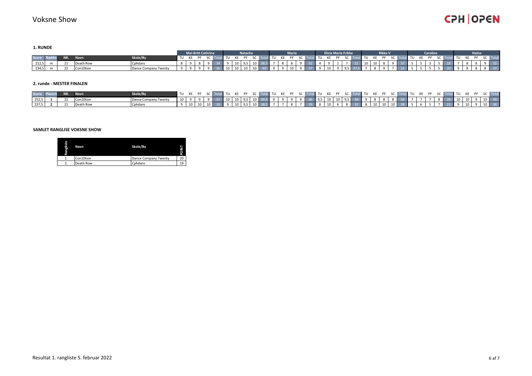**1. RUNDE**

|          |     |             |                      |  | <b>Mai-Britt Cathrine</b> |  |        | Natacha |                                                             |  | Maria |  | <b>Elicia Marie Frikke</b> |  |         |       | <b>Rikke V</b> |  |  | Caroline |        |  | <b>Heino</b>                                                                                                                  |                             |  |
|----------|-----|-------------|----------------------|--|---------------------------|--|--------|---------|-------------------------------------------------------------|--|-------|--|----------------------------|--|---------|-------|----------------|--|--|----------|--------|--|-------------------------------------------------------------------------------------------------------------------------------|-----------------------------|--|
| Score Ra | NR. | <b>Navn</b> | Skole/By             |  |                           |  |        |         |                                                             |  |       |  |                            |  |         |       |                |  |  |          |        |  | TU KE PF SC Total TU KE PF SC Total TU KE PF SC Total TU KE PF SC Total TU KE PF SC Total TU KE PF SC Total TU KE PF SC Total |                             |  |
| 212,5    |     | Death Row   | Cphdans              |  |                           |  |        |         | 10   9,5   10   38,5   7   8   8   9   32   4   9   1       |  |       |  |                            |  | 7 21 10 |       | 10 8           |  |  |          | 18 7 8 |  |                                                                                                                               | 9 32                        |  |
| 234,5    |     | Con10tion   | Dance Company Twenty |  |                           |  | $\sim$ | 10 10   | 10   40   9   9   10   9   37   9   10   9   9,5   37,5   7 |  |       |  |                            |  |         | - 8 I |                |  |  |          |        |  |                                                                                                                               | $\overline{\phantom{0}}$ 33 |  |

#### **2. runde - MESTER FINALEN**

| Score Plac |           |           | Skole/Bv |  |  |  |  | TU KE PF SC Total TU KE PF SC Total TU KE PF SC Total TU KE PF SC Total TU KE PF SC Total TU KE PF SC Total TU KE PF SC T |  |  |  |  |  |  |  |  |  |  |  |  |  |
|------------|-----------|-----------|----------|--|--|--|--|---------------------------------------------------------------------------------------------------------------------------|--|--|--|--|--|--|--|--|--|--|--|--|--|
|            | $252,5$ 1 | Con10tion |          |  |  |  |  | 10 9 9 9 37 10 10 95 10 395 9 9 9 36 95 10 10 95 39 9 8 8 8 33 7 7 7 8 29 10 10 9 10 39                                   |  |  |  |  |  |  |  |  |  |  |  |  |  |
|            | $237,5$ 2 | Death Row |          |  |  |  |  |                                                                                                                           |  |  |  |  |  |  |  |  |  |  |  |  |  |

#### **SAMLET RANGLISE VOKSNE SHOW**

| Rangliste | Navn      | Skole/By             | Z<br>ō<br>т. |
|-----------|-----------|----------------------|--------------|
|           | Con10tion | Dance Company Twenty | 20           |
|           | Death Row | Cphdans              | 19           |